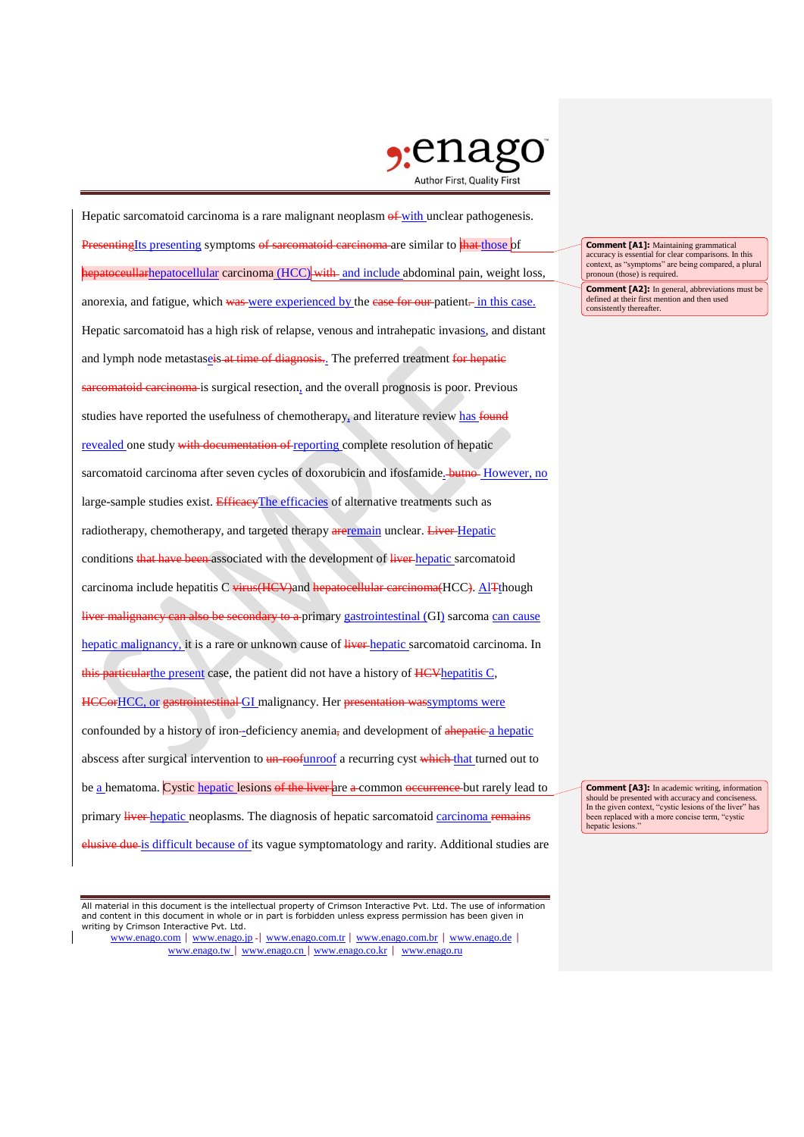

Hepatic sarcomatoid carcinoma is a rare malignant neoplasm  $\theta$  with unclear pathogenesis. **Presenting**Its presenting symptoms of sarcomatoid carcinoma are similar to that those of hepatoceullarhepatocellular carcinoma (HCC) with and include abdominal pain, weight loss, anorexia, and fatigue, which was were experienced by the case for our patient. in this case. Hepatic sarcomatoid has a high risk of relapse, venous and intrahepatic invasions, and distant and lymph node metastaseis at time of diagnosis. The preferred treatment for hepatic bid carcinoma is surgical resection, and the overall prognosis is poor. Previous studies have reported the usefulness of chemotherapy, and literature review has found revealed one study with documentation of reporting complete resolution of hepatic sarcomatoid carcinoma after seven cycles of doxorubicin and ifosfamide. **butno** However, no large-sample studies exist. EfficacyThe efficacies of alternative treatments such as radiotherapy, chemotherapy, and targeted therapy are remain unclear. Liver-Hepatic conditions that have been associated with the development of liver hepatic sarcomatoid carcinoma include hepatitis C virus(HCV)and hepatocellular carcinoma(HCC). AlTthough an also be secondary to a primary gastrointestinal (GI) sarcoma can cause hepatic malignancy, it is a rare or unknown cause of liver hepatic sarcomatoid carcinoma. In this particularthe present case, the patient did not have a history of HCV hepatitis C, HCCorHCC, or gastrointestinal GI malignancy. Her presentation wassymptoms were confounded by a history of iron--deficiency anemia, and development of ahepatic a hepatic abscess after surgical intervention to un-roofunroof a recurring cyst which that turned out to be a hematoma. Cystic hepatic lesions of the liver are a common occurrence but rarely lead to primary liver hepatic neoplasms. The diagnosis of hepatic sarcomatoid carcinoma remains elusive due is difficult because of its vague symptomatology and rarity. Additional studies are

All material in this document is the intellectual property of Crimson Interactive Pvt. Ltd. The use of information and content in this document in whole or in part is forbidden unless express permission has been given in writing by Crimson Interactive Pvt. Ltd.

www.enago.com | www.enago.jp - | www.enago.com.tr | www.enago.com.br | www.enago.de | www.enago.tw | www.enago.cn | www.enago.co.kr | www.enago.ru

**Comment [A1]:** Maintaining grammatical accuracy is essential for clear comparisons. In this context, as "symptoms" are being compared, a plural pronoun (those) is required.

**Comment [A2]:** In general, abbreviations must be defined at their first mention and then used consistently thereafter.

**Comment [A3]:** In academic writing, information should be presented with accuracy and conciseness. In the given context, "cystic lesions of the liver" has been replaced with a more concise term, "cystic hepatic lesions."